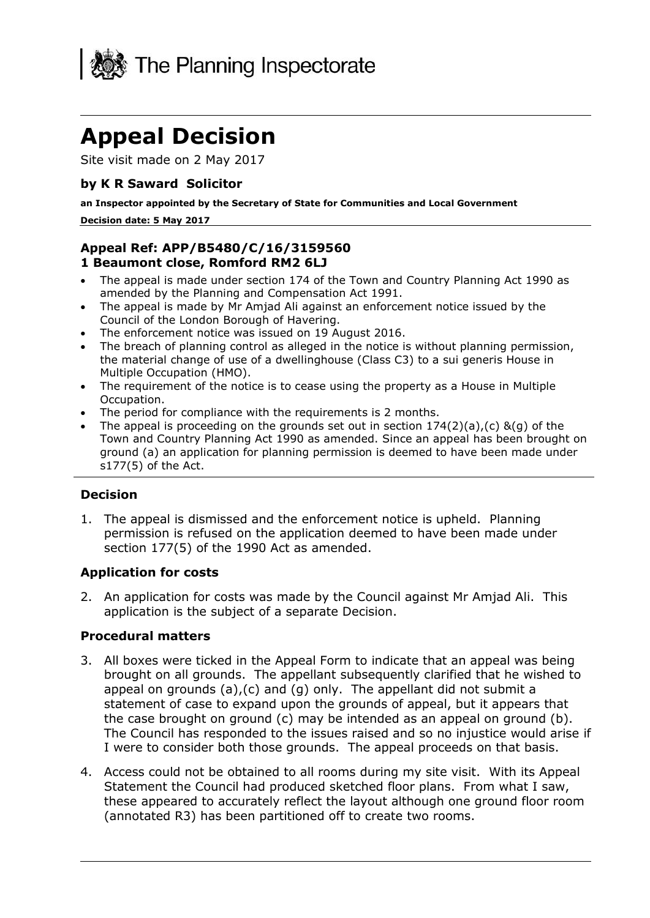

# **Appeal Decision**

Site visit made on 2 May 2017

## **by K R Saward Solicitor**

 **an Inspector appointed by the Secretary of State for Communities and Local Government** 

#### **Decision date: 5 May 2017**

## **Appeal Ref: APP/B5480/C/16/3159560 1 Beaumont close, Romford RM2 6LJ**

- The appeal is made under section 174 of the Town and Country Planning Act 1990 as amended by the Planning and Compensation Act 1991.
- The appeal is made by Mr Amjad Ali against an enforcement notice issued by the Council of the London Borough of Havering.
- The enforcement notice was issued on 19 August 2016.
- the material change of use of a dwellinghouse (Class C3) to a sui generis House in The breach of planning control as alleged in the notice is without planning permission, Multiple Occupation (HMO).
- The requirement of the notice is to cease using the property as a House in Multiple Occupation.
- The period for compliance with the requirements is 2 months.
- The appeal is proceeding on the grounds set out in section  $174(2)(a)$ , (c) &(q) of the Town and Country Planning Act 1990 as amended. Since an appeal has been brought on ground (a) an application for planning permission is deemed to have been made under s177(5) of the Act.

### **Decision**

 1. The appeal is dismissed and the enforcement notice is upheld. Planning section 177(5) of the 1990 Act as amended. permission is refused on the application deemed to have been made under

### **Application for costs**

 2. An application for costs was made by the Council against Mr Amjad Ali. This application is the subject of a separate Decision.

### **Procedural matters**

- 3. All boxes were ticked in the Appeal Form to indicate that an appeal was being brought on all grounds. The appellant subsequently clarified that he wished to appeal on grounds (a),(c) and (g) only. The appellant did not submit a the case brought on ground (c) may be intended as an appeal on ground (b). The Council has responded to the issues raised and so no injustice would arise if I were to consider both those grounds. The appeal proceeds on that basis. statement of case to expand upon the grounds of appeal, but it appears that
- 4. Access could not be obtained to all rooms during my site visit. With its Appeal Statement the Council had produced sketched floor plans. From what I saw, these appeared to accurately reflect the layout although one ground floor room (annotated R3) has been partitioned off to create two rooms.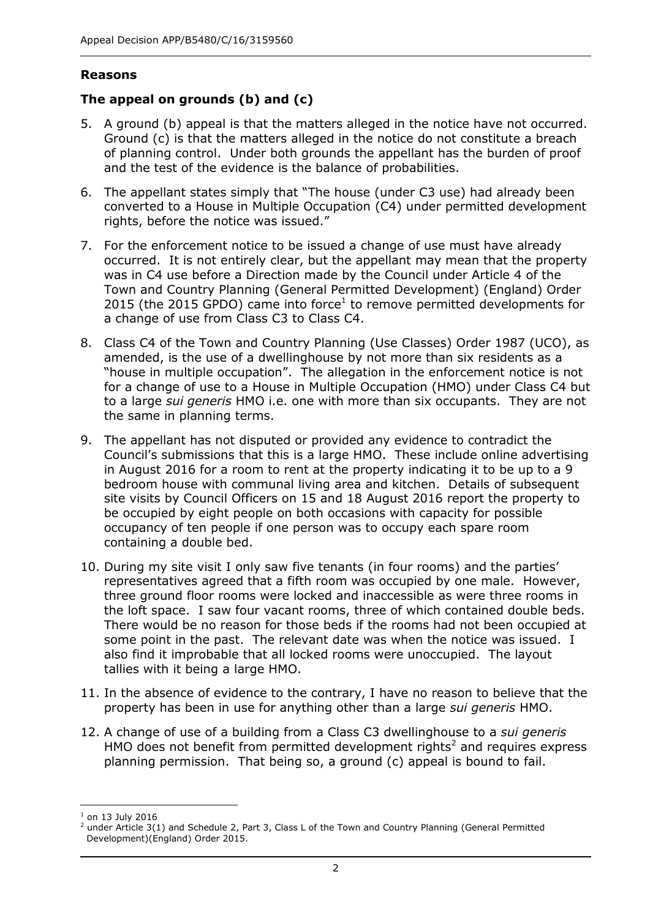## **Reasons**

## **The appeal on grounds (b) and (c)**

- 5. A ground (b) appeal is that the matters alleged in the notice have not occurred. Ground (c) is that the matters alleged in the notice do not constitute a breach Ground (c) is that the matters alleged in the notice do not constitute a breach of planning control. Under both grounds the appellant has the burden of proof and the test of the evidence is the balance of probabilities.
- 6. The appellant states simply that "The house (under C3 use) had already been converted to a House in Multiple Occupation (C4) under permitted development rights, before the notice was issued."
- 7. For the enforcement notice to be issued a change of use must have already occurred. It is not entirely clear, but the appellant may mean that the property was in C4 use before a Direction made by the Council under Article 4 of the Town and Country Planning (General Permitted Development) (England) Order 2015 (the 2015 GPDO) came into force<sup>1</sup> to remove permitted developments for a change of use from Class C3 to Class C4.
- 8. Class C4 of the Town and Country Planning (Use Classes) Order 1987 (UCO), as amended, is the use of a dwellinghouse by not more than six residents as a "house in multiple occupation". The allegation in the enforcement notice is not for a change of use to a House in Multiple Occupation (HMO) under Class C4 but to a large *sui generis* HMO i.e. one with more than six occupants. They are not the same in planning terms.
- 9. The appellant has not disputed or provided any evidence to contradict the Council's submissions that this is a large HMO. These include online advertising in August 2016 for a room to rent at the property indicating it to be up to a 9 bedroom house with communal living area and kitchen. Details of subsequent site visits by Council Officers on 15 and 18 August 2016 report the property to be occupied by eight people on both occasions with capacity for possible occupancy of ten people if one person was to occupy each spare room containing a double bed.
- 10. During my site visit I only saw five tenants (in four rooms) and the parties' representatives agreed that a fifth room was occupied by one male. However, three ground floor rooms were locked and inaccessible as were three rooms in the loft space. I saw four vacant rooms, three of which contained double beds. There would be no reason for those beds if the rooms had not been occupied at some point in the past. The relevant date was when the notice was issued. I also find it improbable that all locked rooms were unoccupied. The layout tallies with it being a large HMO.
- 11. In the absence of evidence to the contrary, I have no reason to believe that the property has been in use for anything other than a large sui generis HMO.
- property has been in use for anything other than a large *sui generis* HMO. 12. A change of use of a building from a Class C3 dwellinghouse to a *sui generis*  HMO does not benefit from permitted development rights<sup>2</sup> and requires express planning permission. That being so, a ground (c) appeal is bound to fail.

j  $<sup>1</sup>$  on 13 July 2016</sup>

<sup>&</sup>lt;sup>2</sup> under Article 3(1) and Schedule 2, Part 3, Class L of the Town and Country Planning (General Permitted Development)(England) Order 2015.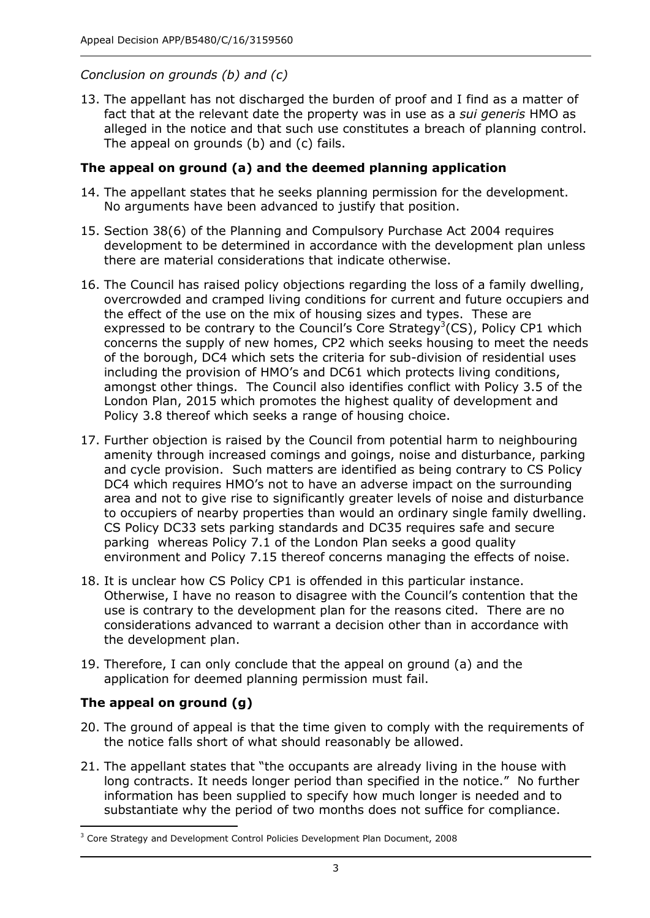## *Conclusion on grounds (b) and (c)*

 13. The appellant has not discharged the burden of proof and I find as a matter of fact that at the relevant date the property was in use as a *sui generis* HMO as alleged in the notice and that such use constitutes a breach of planning control. The appeal on grounds (b) and (c) fails.

### **The appeal on ground (a) and the deemed planning application**

- 14. The appellant states that he seeks planning permission for the development. No arguments have been advanced to justify that position. No arguments have been advanced to justify that position.
- 15. Section 38(6) of the Planning and Compulsory Purchase Act 2004 requires development to be determined in accordance with the development plan unless there are material considerations that indicate otherwise.
- 16. The Council has raised policy objections regarding the loss of a family dwelling, overcrowded and cramped living conditions for current and future occupiers and the effect of the use on the mix of housing sizes and types. These are expressed to be contrary to the Council's Core Strategy<sup>3</sup>(CS), Policy CP1 which concerns the supply of new homes, CP2 which seeks housing to meet the needs of the borough, DC4 which sets the criteria for sub-division of residential uses including the provision of HMO's and DC61 which protects living conditions, amongst other things. The Council also identifies conflict with Policy 3.5 of the London Plan, 2015 which promotes the highest quality of development and Policy 3.8 thereof which seeks a range of housing choice.
- 17. Further objection is raised by the Council from potential harm to neighbouring amenity through increased comings and goings, noise and disturbance, parking and cycle provision. Such matters are identified as being contrary to CS Policy DC4 which requires HMO's not to have an adverse impact on the surrounding area and not to give rise to significantly greater levels of noise and disturbance to occupiers of nearby properties than would an ordinary single family dwelling. CS Policy DC33 sets parking standards and DC35 requires safe and secure parking whereas Policy 7.1 of the London Plan seeks a good quality environment and Policy 7.15 thereof concerns managing the effects of noise.
- 18. It is unclear how CS Policy CP1 is offended in this particular instance. Otherwise, I have no reason to disagree with the Council's contention that the use is contrary to the development plan for the reasons cited. There are no considerations advanced to warrant a decision other than in accordance with the development plan.
- 19. Therefore, I can only conclude that the appeal on ground (a) and the application for deemed planning permission must fail.

## **The appeal on ground (g)**

-

- 20. The ground of appeal is that the time given to comply with the requirements of the notice falls short of what should reasonably be allowed.
- 21. The appellant states that "the occupants are already living in the house with long contracts. It needs longer period than specified in the notice." No further information has been supplied to specify how much longer is needed and to substantiate why the period of two months does not suffice for compliance.

 $3$  Core Strategy and Development Control Policies Development Plan Document, 2008